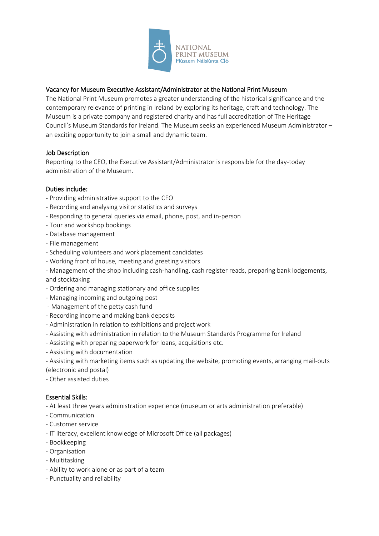

# Vacancy for Museum Executive Assistant/Administrator at the National Print Museum

The National Print Museum promotes a greater understanding of the historical significance and the contemporary relevance of printing in Ireland by exploring its heritage, craft and technology. The Museum is a private company and registered charity and has full accreditation of The Heritage Council's Museum Standards for Ireland. The Museum seeks an experienced Museum Administrator – an exciting opportunity to join a small and dynamic team.

#### Job Description

Reporting to the CEO, the Executive Assistant/Administrator is responsible for the day-today administration of the Museum.

## Duties include:

- Providing administrative support to the CEO
- Recording and analysing visitor statistics and surveys
- Responding to general queries via email, phone, post, and in-person
- Tour and workshop bookings
- Database management
- File management
- Scheduling volunteers and work placement candidates
- Working front of house, meeting and greeting visitors
- Management of the shop including cash-handling, cash register reads, preparing bank lodgements,
- and stocktaking
- Ordering and managing stationary and office supplies
- Managing incoming and outgoing post
- Management of the petty cash fund
- Recording income and making bank deposits
- Administration in relation to exhibitions and project work
- Assisting with administration in relation to the Museum Standards Programme for Ireland
- Assisting with preparing paperwork for loans, acquisitions etc.
- Assisting with documentation
- Assisting with marketing items such as updating the website, promoting events, arranging mail-outs (electronic and postal)
- Other assisted duties

#### Essential Skills:

- At least three years administration experience (museum or arts administration preferable)
- Communication
- Customer service
- IT literacy, excellent knowledge of Microsoft Office (all packages)
- Bookkeeping
- Organisation
- Multitasking
- Ability to work alone or as part of a team
- Punctuality and reliability